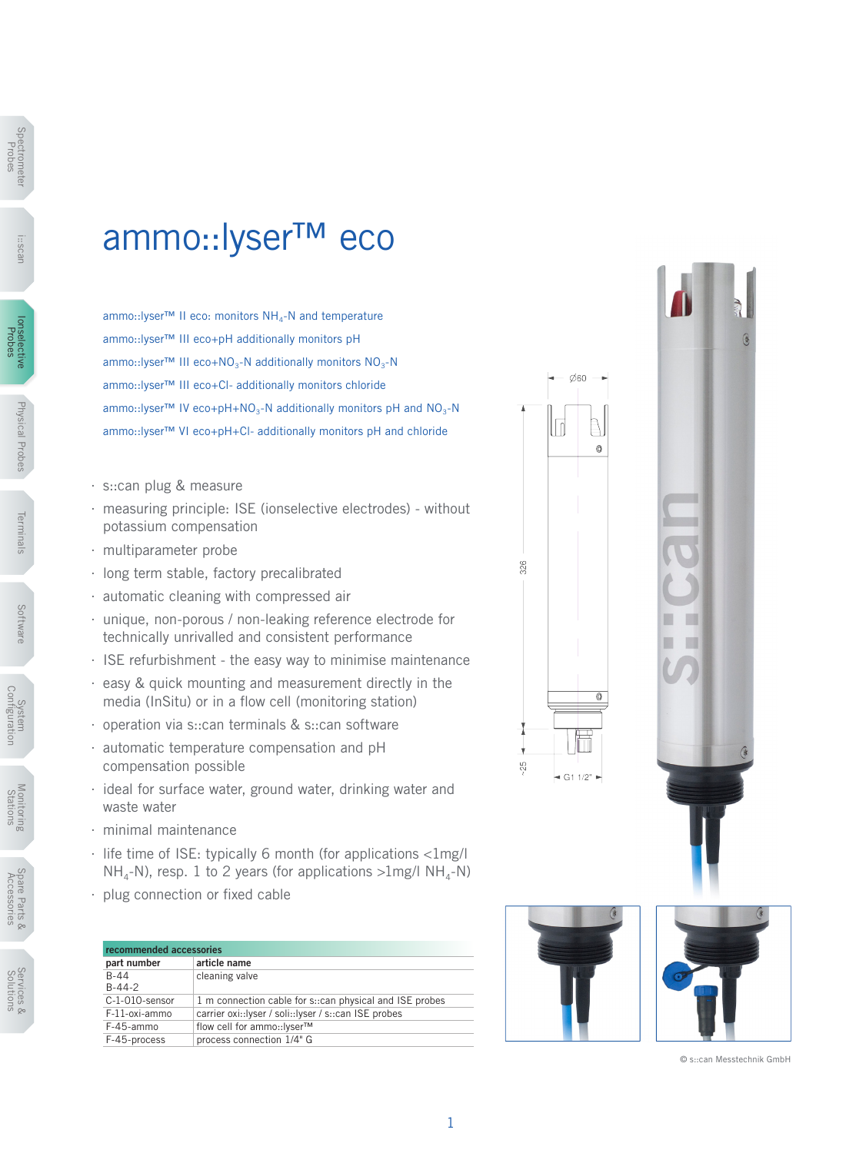## ammo::lyser™ eco

ammo::Iyser™ II eco: monitors NH<sub>4</sub>-N and temperature ammo::lyser™ III eco+pH additionally monitors pH ammo::lyser™ III eco+NO<sub>3</sub>-N additionally monitors  $NO_3-N$ ammo::lyser™ III eco+Cl- additionally monitors chloride ammo::lyser™ IV eco+pH+NO<sub>3</sub>-N additionally monitors pH and NO<sub>3</sub>-N ammo::lyser™ VI eco+pH+Cl- additionally monitors pH and chloride

- ∙ s::can plug & measure
- ∙ measuring principle: ISE (ionselective electrodes) without potassium compensation
- ∙ multiparameter probe
- ∙ long term stable, factory precalibrated
- ∙ automatic cleaning with compressed air
- ∙ unique, non-porous / non-leaking reference electrode for technically unrivalled and consistent performance
- ∙ ISE refurbishment the easy way to minimise maintenance
- ∙ easy & quick mounting and measurement directly in the media (InSitu) or in a flow cell (monitoring station)
- ∙ operation via s::can terminals & s::can software
- ∙ automatic temperature compensation and pH compensation possible
- ∙ ideal for surface water, ground water, drinking water and waste water
- ∙ minimal maintenance
- ∙ life time of ISE: typically 6 month (for applications <1mg/l  $NH<sub>a</sub>-N$ , resp. 1 to 2 years (for applications  $>1$ mg/l  $NH<sub>a</sub>-N$ )
- ∙ plug connection or fixed cable

| recommended accessories |                                                          |  |  |  |  |
|-------------------------|----------------------------------------------------------|--|--|--|--|
| part number             | article name                                             |  |  |  |  |
| $B-44$<br>$B-44-2$      | cleaning valve                                           |  |  |  |  |
| C-1-010-sensor          | 1 m connection cable for s:: can physical and ISE probes |  |  |  |  |
| F-11-oxi-ammo           | carrier oxi::Iyser / soli::Iyser / s::can ISE probes     |  |  |  |  |
| F-45-ammo               | flow cell for ammo::lyser™                               |  |  |  |  |
| F-45-process            | process connection 1/4" G                                |  |  |  |  |



© s::can Messtechnik GmbH



Terminals

lerminals

Physical Probes

Physical Probes

Software

Sottware

Spectrometer Spectrome<br>Probes

i::scan